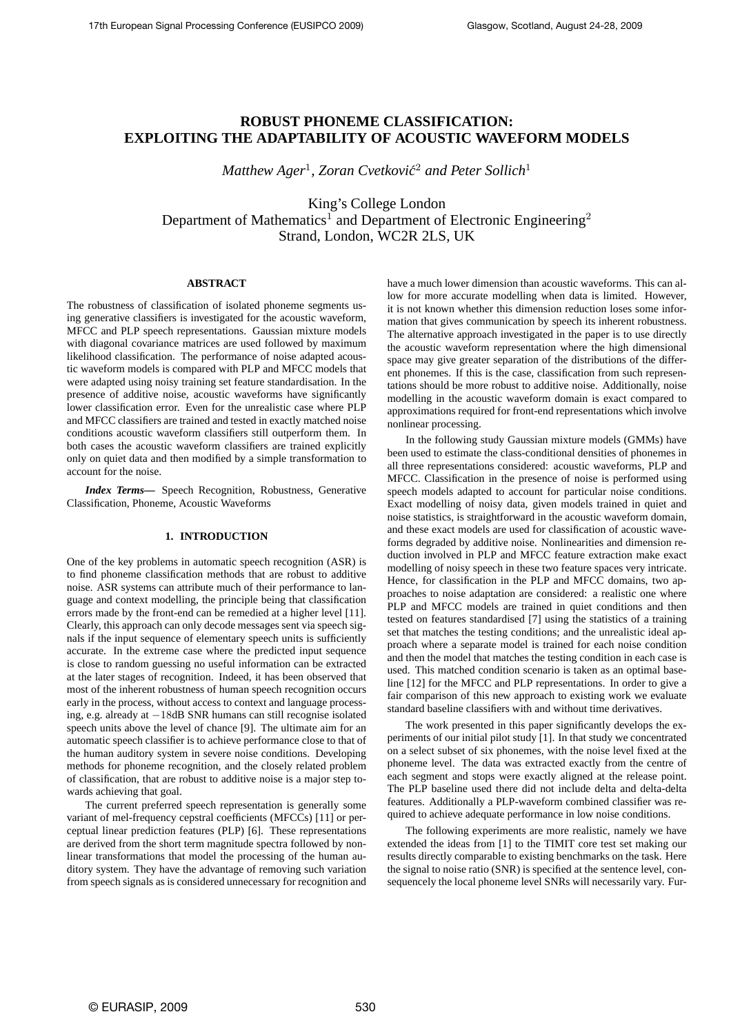# **ROBUST PHONEME CLASSIFICATION: EXPLOITING THE ADAPTABILITY OF ACOUSTIC WAVEFORM MODELS**

 $\emph{Matthew Ager<sup>1</sup>, Zoran Cvetković<sup>2</sup> and Peter Sollich<sup>1</sup>$ 

King's College London Department of Mathematics<sup>1</sup> and Department of Electronic Engineering<sup>2</sup> Strand, London, WC2R 2LS, UK

## **ABSTRACT**

The robustness of classification of isolated phoneme segments using generative classifiers is investigated for the acoustic waveform, MFCC and PLP speech representations. Gaussian mixture models with diagonal covariance matrices are used followed by maximum likelihood classification. The performance of noise adapted acoustic waveform models is compared with PLP and MFCC models that were adapted using noisy training set feature standardisation. In the presence of additive noise, acoustic waveforms have significantly lower classification error. Even for the unrealistic case where PLP and MFCC classifiers are trained and tested in exactly matched noise conditions acoustic waveform classifiers still outperform them. In both cases the acoustic waveform classifiers are trained explicitly only on quiet data and then modified by a simple transformation to account for the noise.

*Index Terms***—** Speech Recognition, Robustness, Generative Classification, Phoneme, Acoustic Waveforms

## **1. INTRODUCTION**

One of the key problems in automatic speech recognition (ASR) is to find phoneme classification methods that are robust to additive noise. ASR systems can attribute much of their performance to language and context modelling, the principle being that classification errors made by the front-end can be remedied at a higher level [11]. Clearly, this approach can only decode messages sent via speech signals if the input sequence of elementary speech units is sufficiently accurate. In the extreme case where the predicted input sequence is close to random guessing no useful information can be extracted at the later stages of recognition. Indeed, it has been observed that most of the inherent robustness of human speech recognition occurs early in the process, without access to context and language processing, e.g. already at −18dB SNR humans can still recognise isolated speech units above the level of chance [9]. The ultimate aim for an automatic speech classifier is to achieve performance close to that of the human auditory system in severe noise conditions. Developing methods for phoneme recognition, and the closely related problem of classification, that are robust to additive noise is a major step towards achieving that goal.

The current preferred speech representation is generally some variant of mel-frequency cepstral coefficients (MFCCs) [11] or perceptual linear prediction features (PLP) [6]. These representations are derived from the short term magnitude spectra followed by nonlinear transformations that model the processing of the human auditory system. They have the advantage of removing such variation from speech signals as is considered unnecessary for recognition and

have a much lower dimension than acoustic waveforms. This can allow for more accurate modelling when data is limited. However, it is not known whether this dimension reduction loses some information that gives communication by speech its inherent robustness. The alternative approach investigated in the paper is to use directly the acoustic waveform representation where the high dimensional space may give greater separation of the distributions of the different phonemes. If this is the case, classification from such representations should be more robust to additive noise. Additionally, noise modelling in the acoustic waveform domain is exact compared to approximations required for front-end representations which involve nonlinear processing.

In the following study Gaussian mixture models (GMMs) have been used to estimate the class-conditional densities of phonemes in all three representations considered: acoustic waveforms, PLP and MFCC. Classification in the presence of noise is performed using speech models adapted to account for particular noise conditions. Exact modelling of noisy data, given models trained in quiet and noise statistics, is straightforward in the acoustic waveform domain, and these exact models are used for classification of acoustic waveforms degraded by additive noise. Nonlinearities and dimension reduction involved in PLP and MFCC feature extraction make exact modelling of noisy speech in these two feature spaces very intricate. Hence, for classification in the PLP and MFCC domains, two approaches to noise adaptation are considered: a realistic one where PLP and MFCC models are trained in quiet conditions and then tested on features standardised [7] using the statistics of a training set that matches the testing conditions; and the unrealistic ideal approach where a separate model is trained for each noise condition and then the model that matches the testing condition in each case is used. This matched condition scenario is taken as an optimal baseline [12] for the MFCC and PLP representations. In order to give a fair comparison of this new approach to existing work we evaluate standard baseline classifiers with and without time derivatives.

The work presented in this paper significantly develops the experiments of our initial pilot study [1]. In that study we concentrated on a select subset of six phonemes, with the noise level fixed at the phoneme level. The data was extracted exactly from the centre of each segment and stops were exactly aligned at the release point. The PLP baseline used there did not include delta and delta-delta features. Additionally a PLP-waveform combined classifier was required to achieve adequate performance in low noise conditions.

The following experiments are more realistic, namely we have extended the ideas from [1] to the TIMIT core test set making our results directly comparable to existing benchmarks on the task. Here the signal to noise ratio (SNR) is specified at the sentence level, consequencely the local phoneme level SNRs will necessarily vary. Fur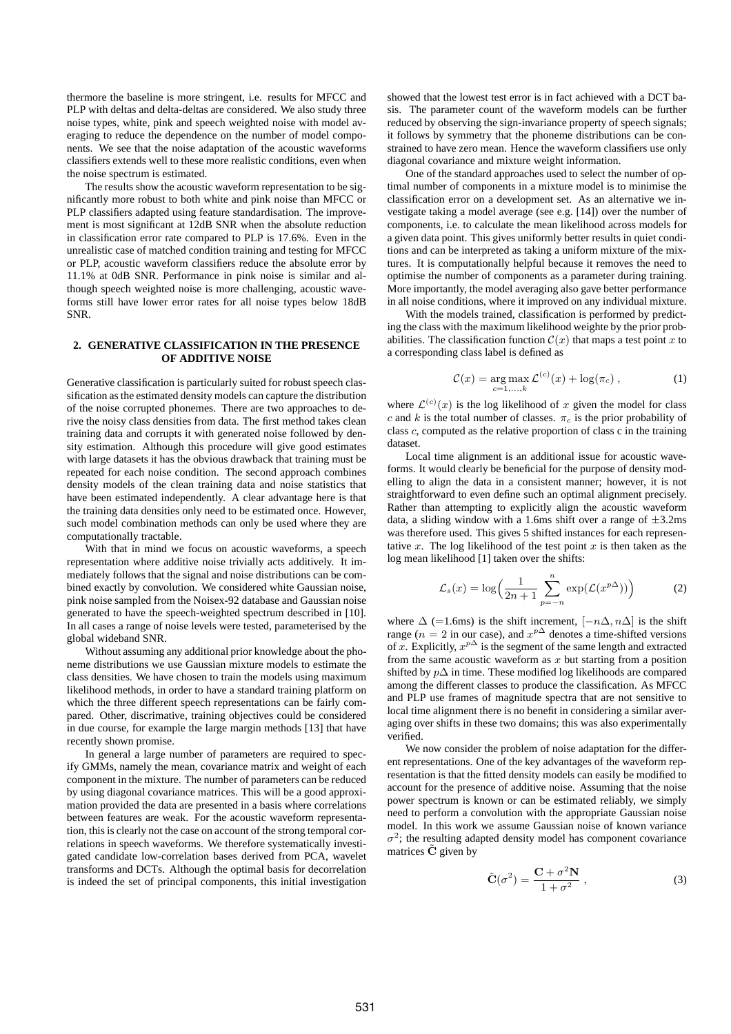thermore the baseline is more stringent, i.e. results for MFCC and PLP with deltas and delta-deltas are considered. We also study three noise types, white, pink and speech weighted noise with model averaging to reduce the dependence on the number of model components. We see that the noise adaptation of the acoustic waveforms classifiers extends well to these more realistic conditions, even when the noise spectrum is estimated.

The results show the acoustic waveform representation to be significantly more robust to both white and pink noise than MFCC or PLP classifiers adapted using feature standardisation. The improvement is most significant at 12dB SNR when the absolute reduction in classification error rate compared to PLP is 17.6%. Even in the unrealistic case of matched condition training and testing for MFCC or PLP, acoustic waveform classifiers reduce the absolute error by 11.1% at 0dB SNR. Performance in pink noise is similar and although speech weighted noise is more challenging, acoustic waveforms still have lower error rates for all noise types below 18dB SNR.

## **2. GENERATIVE CLASSIFICATION IN THE PRESENCE OF ADDITIVE NOISE**

Generative classification is particularly suited for robust speech classification as the estimated density models can capture the distribution of the noise corrupted phonemes. There are two approaches to derive the noisy class densities from data. The first method takes clean training data and corrupts it with generated noise followed by density estimation. Although this procedure will give good estimates with large datasets it has the obvious drawback that training must be repeated for each noise condition. The second approach combines density models of the clean training data and noise statistics that have been estimated independently. A clear advantage here is that the training data densities only need to be estimated once. However, such model combination methods can only be used where they are computationally tractable.

With that in mind we focus on acoustic waveforms, a speech representation where additive noise trivially acts additively. It immediately follows that the signal and noise distributions can be combined exactly by convolution. We considered white Gaussian noise, pink noise sampled from the Noisex-92 database and Gaussian noise generated to have the speech-weighted spectrum described in [10]. In all cases a range of noise levels were tested, parameterised by the global wideband SNR.

Without assuming any additional prior knowledge about the phoneme distributions we use Gaussian mixture models to estimate the class densities. We have chosen to train the models using maximum likelihood methods, in order to have a standard training platform on which the three different speech representations can be fairly compared. Other, discrimative, training objectives could be considered in due course, for example the large margin methods [13] that have recently shown promise.

In general a large number of parameters are required to specify GMMs, namely the mean, covariance matrix and weight of each component in the mixture. The number of parameters can be reduced by using diagonal covariance matrices. This will be a good approximation provided the data are presented in a basis where correlations between features are weak. For the acoustic waveform representation, this is clearly not the case on account of the strong temporal correlations in speech waveforms. We therefore systematically investigated candidate low-correlation bases derived from PCA, wavelet transforms and DCTs. Although the optimal basis for decorrelation is indeed the set of principal components, this initial investigation

showed that the lowest test error is in fact achieved with a DCT basis. The parameter count of the waveform models can be further reduced by observing the sign-invariance property of speech signals; it follows by symmetry that the phoneme distributions can be constrained to have zero mean. Hence the waveform classifiers use only diagonal covariance and mixture weight information.

One of the standard approaches used to select the number of optimal number of components in a mixture model is to minimise the classification error on a development set. As an alternative we investigate taking a model average (see e.g. [14]) over the number of components, i.e. to calculate the mean likelihood across models for a given data point. This gives uniformly better results in quiet conditions and can be interpreted as taking a uniform mixture of the mixtures. It is computationally helpful because it removes the need to optimise the number of components as a parameter during training. More importantly, the model averaging also gave better performance in all noise conditions, where it improved on any individual mixture.

With the models trained, classification is performed by predicting the class with the maximum likelihood weighte by the prior probabilities. The classification function  $\mathcal{C}(x)$  that maps a test point x to a corresponding class label is defined as

$$
C(x) = \underset{c=1,...,k}{\arg \max} \mathcal{L}^{(c)}(x) + \log(\pi_c), \qquad (1)
$$

where  $\mathcal{L}^{(c)}(x)$  is the log likelihood of x given the model for class c and k is the total number of classes.  $\pi_c$  is the prior probability of class c, computed as the relative proportion of class c in the training dataset.

Local time alignment is an additional issue for acoustic waveforms. It would clearly be beneficial for the purpose of density modelling to align the data in a consistent manner; however, it is not straightforward to even define such an optimal alignment precisely. Rather than attempting to explicitly align the acoustic waveform data, a sliding window with a 1.6ms shift over a range of  $\pm$ 3.2ms was therefore used. This gives 5 shifted instances for each representative x. The log likelihood of the test point  $x$  is then taken as the log mean likelihood [1] taken over the shifts:

$$
\mathcal{L}_s(x) = \log\left(\frac{1}{2n+1}\sum_{p=-n}^n \exp(\mathcal{L}(x^{p\Delta}))\right)
$$
 (2)

where  $\Delta$  (=1.6ms) is the shift increment,  $[-n\Delta, n\Delta]$  is the shift range ( $n = 2$  in our case), and  $x^{p\Delta}$  denotes a time-shifted versions of x. Explicitly,  $x^{p\Delta}$  is the segment of the same length and extracted from the same acoustic waveform as  $x$  but starting from a position shifted by  $p\Delta$  in time. These modified log likelihoods are compared among the different classes to produce the classification. As MFCC and PLP use frames of magnitude spectra that are not sensitive to local time alignment there is no benefit in considering a similar averaging over shifts in these two domains; this was also experimentally verified.

We now consider the problem of noise adaptation for the different representations. One of the key advantages of the waveform representation is that the fitted density models can easily be modified to account for the presence of additive noise. Assuming that the noise power spectrum is known or can be estimated reliably, we simply need to perform a convolution with the appropriate Gaussian noise model. In this work we assume Gaussian noise of known variance  $\sigma^2$ ; the resulting adapted density model has component covariance matrices  $\tilde{C}$  given by

$$
\tilde{\mathbf{C}}(\sigma^2) = \frac{\mathbf{C} + \sigma^2 \mathbf{N}}{1 + \sigma^2} ,\qquad(3)
$$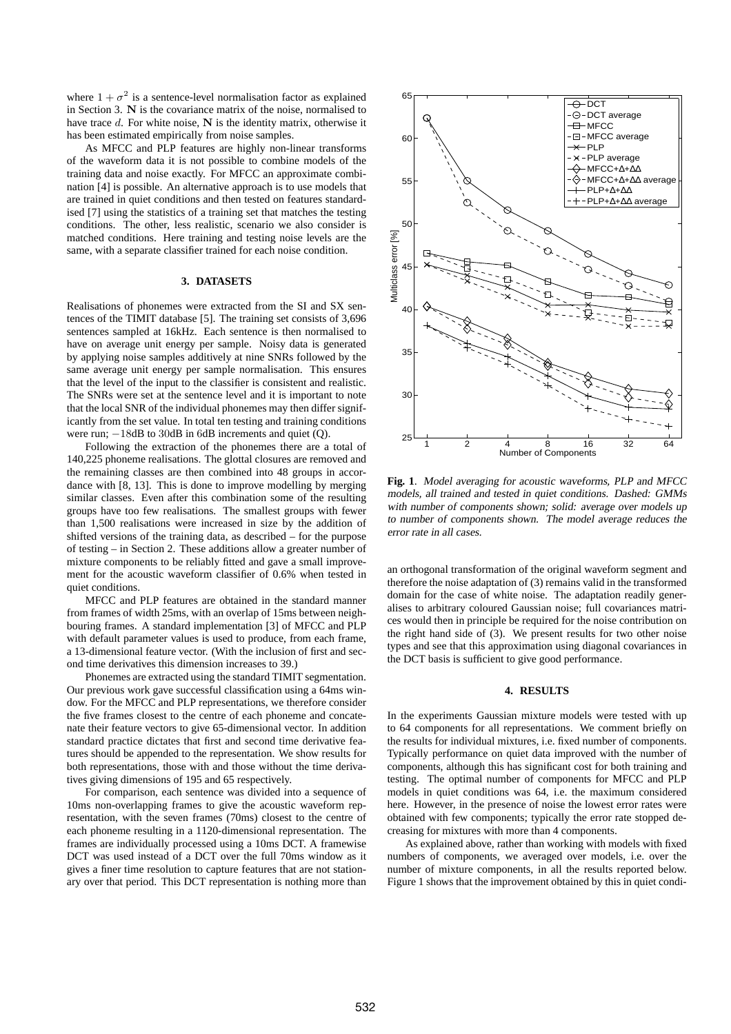where  $1 + \sigma^2$  is a sentence-level normalisation factor as explained in Section 3. N is the covariance matrix of the noise, normalised to have trace d. For white noise, N is the identity matrix, otherwise it has been estimated empirically from noise samples.

As MFCC and PLP features are highly non-linear transforms of the waveform data it is not possible to combine models of the training data and noise exactly. For MFCC an approximate combination [4] is possible. An alternative approach is to use models that are trained in quiet conditions and then tested on features standardised [7] using the statistics of a training set that matches the testing conditions. The other, less realistic, scenario we also consider is matched conditions. Here training and testing noise levels are the same, with a separate classifier trained for each noise condition.

#### **3. DATASETS**

Realisations of phonemes were extracted from the SI and SX sentences of the TIMIT database [5]. The training set consists of 3,696 sentences sampled at 16kHz. Each sentence is then normalised to have on average unit energy per sample. Noisy data is generated by applying noise samples additively at nine SNRs followed by the same average unit energy per sample normalisation. This ensures that the level of the input to the classifier is consistent and realistic. The SNRs were set at the sentence level and it is important to note that the local SNR of the individual phonemes may then differ significantly from the set value. In total ten testing and training conditions were run;  $-18$ dB to 30dB in 6dB increments and quiet (Q).

Following the extraction of the phonemes there are a total of 140,225 phoneme realisations. The glottal closures are removed and the remaining classes are then combined into 48 groups in accordance with [8, 13]. This is done to improve modelling by merging similar classes. Even after this combination some of the resulting groups have too few realisations. The smallest groups with fewer than 1,500 realisations were increased in size by the addition of shifted versions of the training data, as described – for the purpose of testing – in Section 2. These additions allow a greater number of mixture components to be reliably fitted and gave a small improvement for the acoustic waveform classifier of 0.6% when tested in quiet conditions.

MFCC and PLP features are obtained in the standard manner from frames of width 25ms, with an overlap of 15ms between neighbouring frames. A standard implementation [3] of MFCC and PLP with default parameter values is used to produce, from each frame, a 13-dimensional feature vector. (With the inclusion of first and second time derivatives this dimension increases to 39.)

Phonemes are extracted using the standard TIMIT segmentation. Our previous work gave successful classification using a 64ms window. For the MFCC and PLP representations, we therefore consider the five frames closest to the centre of each phoneme and concatenate their feature vectors to give 65-dimensional vector. In addition standard practice dictates that first and second time derivative features should be appended to the representation. We show results for both representations, those with and those without the time derivatives giving dimensions of 195 and 65 respectively.

For comparison, each sentence was divided into a sequence of 10ms non-overlapping frames to give the acoustic waveform representation, with the seven frames (70ms) closest to the centre of each phoneme resulting in a 1120-dimensional representation. The frames are individually processed using a 10ms DCT. A framewise DCT was used instead of a DCT over the full 70ms window as it gives a finer time resolution to capture features that are not stationary over that period. This DCT representation is nothing more than



**Fig. 1**. Model averaging for acoustic waveforms, PLP and MFCC models, all trained and tested in quiet conditions. Dashed: GMMs with number of components shown; solid: average over models up to number of components shown. The model average reduces the error rate in all cases.

an orthogonal transformation of the original waveform segment and therefore the noise adaptation of (3) remains valid in the transformed domain for the case of white noise. The adaptation readily generalises to arbitrary coloured Gaussian noise; full covariances matrices would then in principle be required for the noise contribution on the right hand side of (3). We present results for two other noise types and see that this approximation using diagonal covariances in the DCT basis is sufficient to give good performance.

## **4. RESULTS**

In the experiments Gaussian mixture models were tested with up to 64 components for all representations. We comment briefly on the results for individual mixtures, i.e. fixed number of components. Typically performance on quiet data improved with the number of components, although this has significant cost for both training and testing. The optimal number of components for MFCC and PLP models in quiet conditions was 64, i.e. the maximum considered here. However, in the presence of noise the lowest error rates were obtained with few components; typically the error rate stopped decreasing for mixtures with more than 4 components.

As explained above, rather than working with models with fixed numbers of components, we averaged over models, i.e. over the number of mixture components, in all the results reported below. Figure 1 shows that the improvement obtained by this in quiet condi-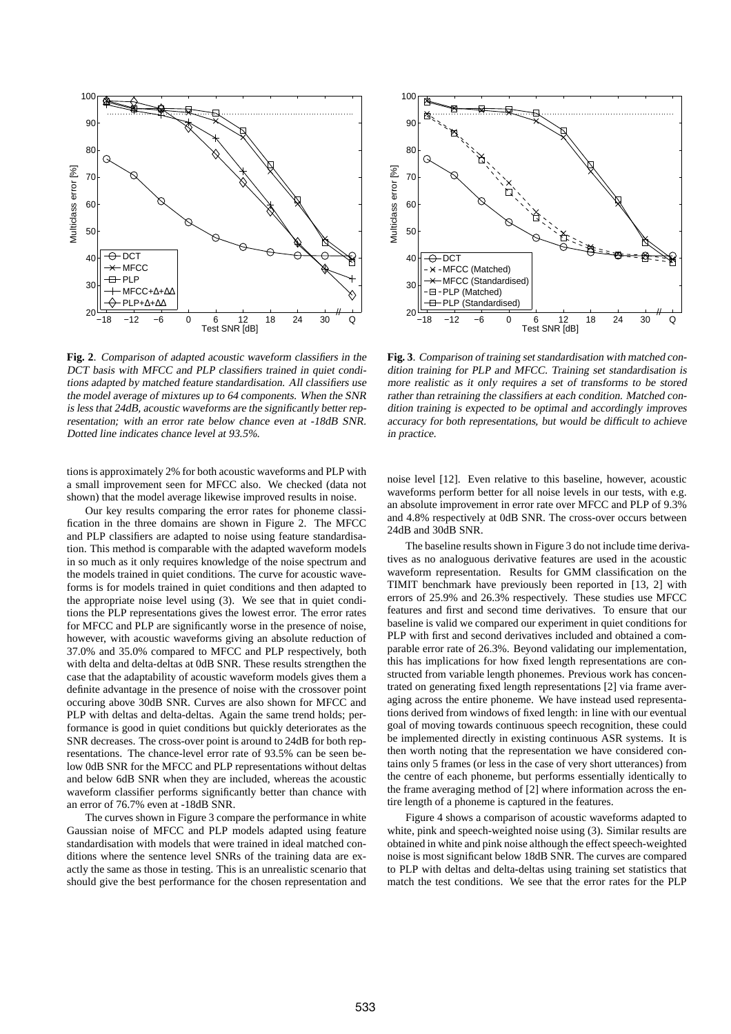

**Fig. 2**. Comparison of adapted acoustic waveform classifiers in the DCT basis with MFCC and PLP classifiers trained in quiet conditions adapted by matched feature standardisation. All classifiers use the model average of mixtures up to <sup>64</sup> components. When the SNR is less that 24dB, acoustic waveforms are the significantly better representation; with an error rate below chance even at -18dB SNR. Dotted line indicates chance level at 93.5%.

tions is approximately 2% for both acoustic waveforms and PLP with a small improvement seen for MFCC also. We checked (data not shown) that the model average likewise improved results in noise.

Our key results comparing the error rates for phoneme classification in the three domains are shown in Figure 2. The MFCC and PLP classifiers are adapted to noise using feature standardisation. This method is comparable with the adapted waveform models in so much as it only requires knowledge of the noise spectrum and the models trained in quiet conditions. The curve for acoustic waveforms is for models trained in quiet conditions and then adapted to the appropriate noise level using (3). We see that in quiet conditions the PLP representations gives the lowest error. The error rates for MFCC and PLP are significantly worse in the presence of noise, however, with acoustic waveforms giving an absolute reduction of 37.0% and 35.0% compared to MFCC and PLP respectively, both with delta and delta-deltas at 0dB SNR. These results strengthen the case that the adaptability of acoustic waveform models gives them a definite advantage in the presence of noise with the crossover point occuring above 30dB SNR. Curves are also shown for MFCC and PLP with deltas and delta-deltas. Again the same trend holds; performance is good in quiet conditions but quickly deteriorates as the SNR decreases. The cross-over point is around to 24dB for both representations. The chance-level error rate of 93.5% can be seen below 0dB SNR for the MFCC and PLP representations without deltas and below 6dB SNR when they are included, whereas the acoustic waveform classifier performs significantly better than chance with an error of 76.7% even at -18dB SNR.

The curves shown in Figure 3 compare the performance in white Gaussian noise of MFCC and PLP models adapted using feature standardisation with models that were trained in ideal matched conditions where the sentence level SNRs of the training data are exactly the same as those in testing. This is an unrealistic scenario that should give the best performance for the chosen representation and



**Fig. 3**. Comparison of training set standardisation with matched condition training for PLP and MFCC. Training set standardisation is more realistic as it only requires <sup>a</sup> set of transforms to be stored rather than retraining the classifiers at each condition. Matched condition training is expected to be optimal and accordingly improves accuracy for both representations, but would be difficult to achieve in practice.

noise level [12]. Even relative to this baseline, however, acoustic waveforms perform better for all noise levels in our tests, with e.g. an absolute improvement in error rate over MFCC and PLP of 9.3% and 4.8% respectively at 0dB SNR. The cross-over occurs between 24dB and 30dB SNR.

The baseline results shown in Figure 3 do not include time derivatives as no analoguous derivative features are used in the acoustic waveform representation. Results for GMM classification on the TIMIT benchmark have previously been reported in [13, 2] with errors of 25.9% and 26.3% respectively. These studies use MFCC features and first and second time derivatives. To ensure that our baseline is valid we compared our experiment in quiet conditions for PLP with first and second derivatives included and obtained a comparable error rate of 26.3%. Beyond validating our implementation, this has implications for how fixed length representations are constructed from variable length phonemes. Previous work has concentrated on generating fixed length representations [2] via frame averaging across the entire phoneme. We have instead used representations derived from windows of fixed length: in line with our eventual goal of moving towards continuous speech recognition, these could be implemented directly in existing continuous ASR systems. It is then worth noting that the representation we have considered contains only 5 frames (or less in the case of very short utterances) from the centre of each phoneme, but performs essentially identically to the frame averaging method of [2] where information across the entire length of a phoneme is captured in the features.

Figure 4 shows a comparison of acoustic waveforms adapted to white, pink and speech-weighted noise using (3). Similar results are obtained in white and pink noise although the effect speech-weighted noise is most significant below 18dB SNR. The curves are compared to PLP with deltas and delta-deltas using training set statistics that match the test conditions. We see that the error rates for the PLP